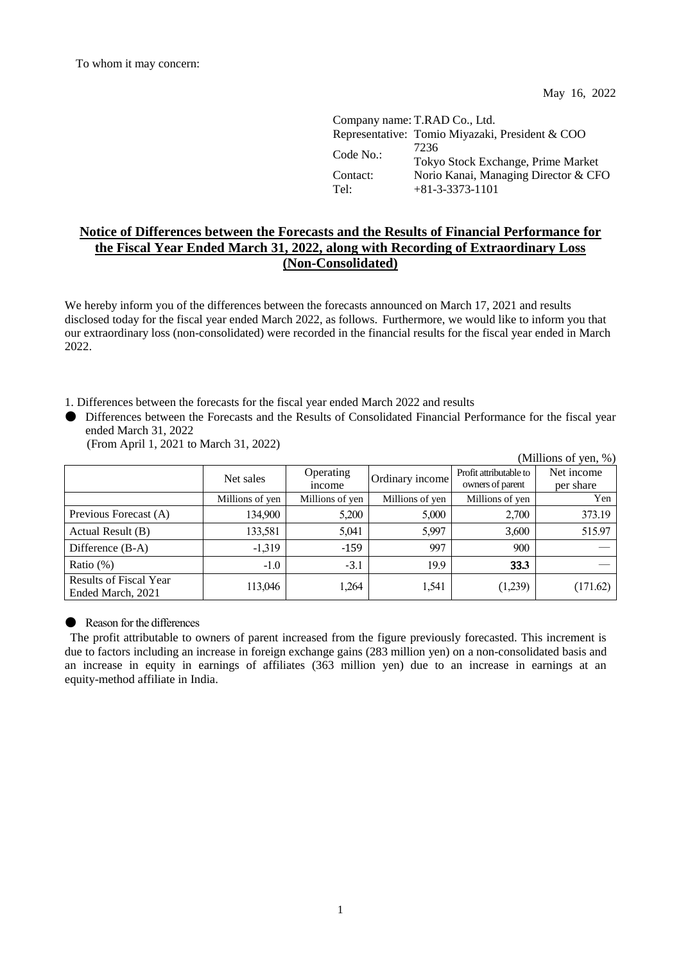May 16, 2022

(Millions of yen,  $\%$ )

|                  | Company name: T.RAD Co., Ltd.                             |
|------------------|-----------------------------------------------------------|
|                  | Representative: Tomio Miyazaki, President & COO           |
| Code No.         | 7236<br>Tokyo Stock Exchange, Prime Market                |
| Contact:<br>Tel: | Norio Kanai, Managing Director & CFO<br>$+81-3-3373-1101$ |

## **Notice of Differences between the Forecasts and the Results of Financial Performance for the Fiscal Year Ended March 31, 2022, along with Recording of Extraordinary Loss (Non-Consolidated)**

We hereby inform you of the differences between the forecasts announced on March 17, 2021 and results disclosed today for the fiscal year ended March 2022, as follows. Furthermore, we would like to inform you that our extraordinary loss (non-consolidated) were recorded in the financial results for the fiscal year ended in March 2022.

1. Differences between the forecasts for the fiscal year ended March 2022 and results

● Differences between the Forecasts and the Results of Consolidated Financial Performance for the fiscal year ended March 31, 2022

| (From April 1, 2021 to March 31, 2022) |  |  |  |  |
|----------------------------------------|--|--|--|--|
|----------------------------------------|--|--|--|--|

|                                                    | Net sales       | <b>D</b> erating<br><i>n</i> come | Ordinary income! | Profit attributable to<br>owners of parent | Net income<br>per share |
|----------------------------------------------------|-----------------|-----------------------------------|------------------|--------------------------------------------|-------------------------|
|                                                    | Millions of yen | Millions of yen                   | Millions of yen  | Millions of yen                            | Yen                     |
| Previous Forecast (A)                              | 134.900         |                                   | 5.000            | 2700                                       | 373 19                  |
| Actual Result (B)                                  | 133.581         | 5 N.I                             | : 997            | 3 600                                      |                         |
| Difference $(B-A)$                                 | $-1.319$        | -159                              |                  | 900                                        |                         |
| Ratio $(\%)$                                       |                 |                                   |                  | २२ २                                       |                         |
| <b>Results of Fiscal Year</b><br>Ended March, 2021 |                 |                                   |                  |                                            |                         |

## ● Reason for the differences

The profit attributable to owners of parent increased from the figure previously forecasted. This increment is due to factors including an increase in foreign exchange gains (283 million yen) on a non-consolidated basis and an increase in equity in earnings of affiliates (363 million yen) due to an increase in earnings at an equity-method affiliate in India.